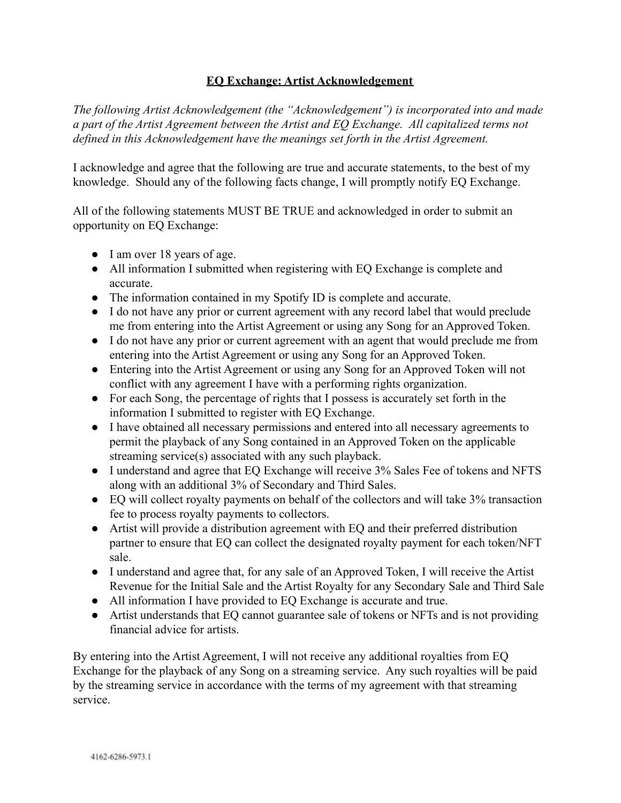## **EQ Exchange: Artist Acknowledgement**

*The following Artist Acknowledgement (the "Acknowledgement") is incorporated into and made a part of the Artist Agreement between the Artist and EQ Exchange. All capitalized terms not defined in this Acknowledgement have the meanings set forth in the Artist Agreement.*

I acknowledge and agree that the following are true and accurate statements, to the best of my knowledge. Should any of the following facts change, I will promptly notify EQ Exchange.

All of the following statements MUST BE TRUE and acknowledged in order to submit an opportunity on EQ Exchange:

- I am over 18 years of age.
- All information I submitted when registering with EQ Exchange is complete and accurate.
- The information contained in my Spotify ID is complete and accurate.
- I do not have any prior or current agreement with any record label that would preclude me from entering into the Artist Agreement or using any Song for an Approved Token.
- I do not have any prior or current agreement with an agent that would preclude me from entering into the Artist Agreement or using any Song for an Approved Token.
- Entering into the Artist Agreement or using any Song for an Approved Token will not conflict with any agreement I have with a performing rights organization.
- For each Song, the percentage of rights that I possess is accurately set forth in the information I submitted to register with EQ Exchange.
- I have obtained all necessary permissions and entered into all necessary agreements to permit the playback of any Song contained in an Approved Token on the applicable streaming service(s) associated with any such playback.
- I understand and agree that EQ Exchange will receive 3% Sales Fee of tokens and NFTS along with an additional 3% of Secondary and Third Sales.
- EQ will collect royalty payments on behalf of the collectors and will take 3% transaction fee to process royalty payments to collectors.
- Artist will provide a distribution agreement with EQ and their preferred distribution partner to ensure that EQ can collect the designated royalty payment for each token/NFT sale.
- I understand and agree that, for any sale of an Approved Token, I will receive the Artist Revenue for the Initial Sale and the Artist Royalty for any Secondary Sale and Third Sale
- All information I have provided to EQ Exchange is accurate and true.
- Artist understands that EQ cannot guarantee sale of tokens or NFTs and is not providing financial advice for artists.

By entering into the Artist Agreement, I will not receive any additional royalties from EQ Exchange for the playback of any Song on a streaming service. Any such royalties will be paid by the streaming service in accordance with the terms of my agreement with that streaming service.